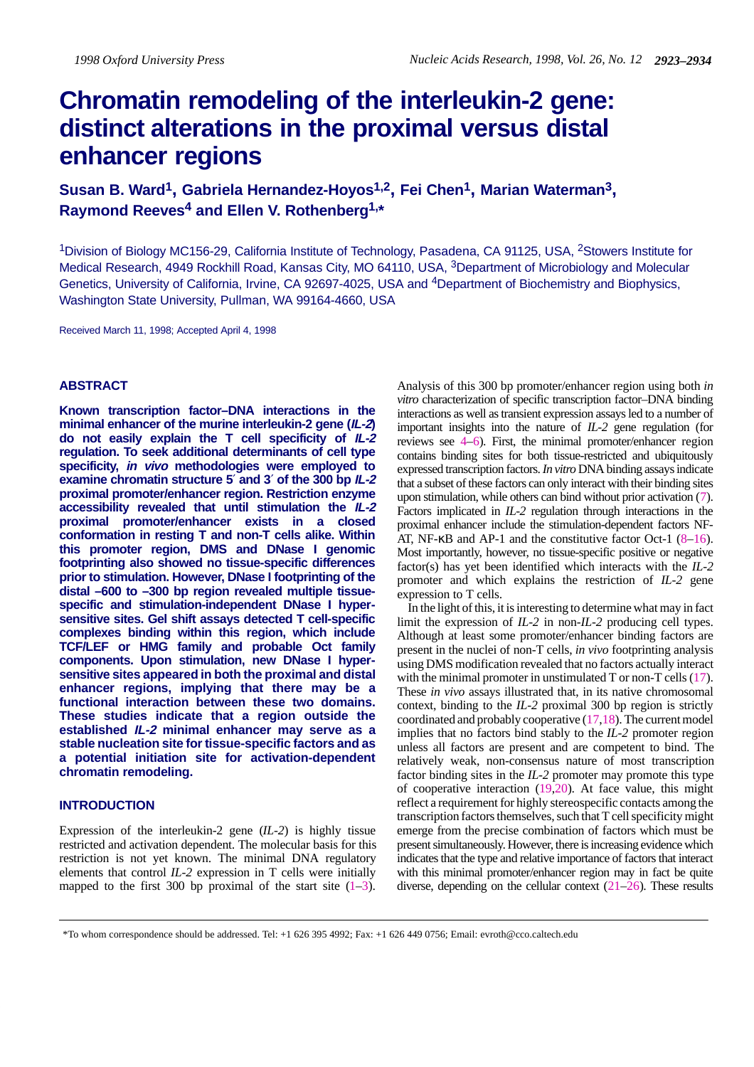# **Chromatin remodeling of the interleukin-2 gene: distinct alterations in the proximal versus distal enhancer regions**

**Susan B. Ward1, Gabriela Hernandez-Hoyos1,2, Fei Chen1, Marian Waterman3, Raymond Reeves4 and Ellen V. Rothenberg1,\***

1Division of Biology MC156-29, California Institute of Technology, Pasadena, CA 91125, USA, 2Stowers Institute for Medical Research, 4949 Rockhill Road, Kansas City, MO 64110, USA, <sup>3</sup>Department of Microbiology and Molecular Genetics, University of California, Irvine, CA 92697-4025, USA and 4Department of Biochemistry and Biophysics, Washington State University, Pullman, WA 99164-4660, USA

Received March 11, 1998; Accepted April 4, 1998

# **ABSTRACT**

**Known transcription factor–DNA interactions in the minimal enhancer of the murine interleukin-2 gene (IL-2) do not easily explain the T cell specificity of IL-2 regulation. To seek additional determinants of cell type specificity, in vivo methodologies were employed to examine chromatin structure 5**′ **and 3**′ **of the 300 bp IL-2 proximal promoter/enhancer region. Restriction enzyme accessibility revealed that until stimulation the IL-2 proximal promoter/enhancer exists in a closed conformation in resting T and non-T cells alike. Within this promoter region, DMS and DNase I genomic footprinting also showed no tissue-specific differences prior to stimulation. However, DNase I footprinting of the distal –600 to –300 bp region revealed multiple tissuespecific and stimulation-independent DNase I hypersensitive sites. Gel shift assays detected T cell-specific complexes binding within this region, which include TCF/LEF or HMG family and probable Oct family components. Upon stimulation, new DNase I hypersensitive sites appeared in both the proximal and distal enhancer regions, implying that there may be a functional interaction between these two domains. These studies indicate that a region outside the established IL-2 minimal enhancer may serve as a stable nucleation site for tissue-specific factors and as a potential initiation site for activation-dependent chromatin remodeling.**

## **INTRODUCTION**

Expression of the interleukin-2 gene (*IL-2*) is highly tissue restricted and activation dependent. The molecular basis for this restriction is not yet known. The minimal DNA regulatory elements that control *IL-2* expression in T cells were initially mapped to the first 300 bp proximal of the start site  $(1-3)$ .

Analysis of this 300 bp promoter/enhancer region using both *in vitro* characterization of specific transcription factor–DNA binding interactions as well as transient expression assays led to a number of important insights into the nature of *IL-2* gene regulation (for reviews see 4–6). First, the minimal promoter/enhancer region contains binding sites for both tissue-restricted and ubiquitously expressed transcription factors. *In vitro* DNA binding assays indicate that a subset of these factors can only interact with their binding sites upon stimulation, while others can bind without prior activation (7). Factors implicated in *IL-2* regulation through interactions in the proximal enhancer include the stimulation-dependent factors NF-AT, NF- $\kappa$ B and AP-1 and the constitutive factor Oct-1 (8–16). Most importantly, however, no tissue-specific positive or negative factor(s) has yet been identified which interacts with the *IL-2* promoter and which explains the restriction of *IL-2* gene expression to T cells.

In the light of this, it is interesting to determine what may in fact limit the expression of *IL-2* in non-*IL-2* producing cell types. Although at least some promoter/enhancer binding factors are present in the nuclei of non-T cells, *in vivo* footprinting analysis using DMS modification revealed that no factors actually interact with the minimal promoter in unstimulated T or non-T cells (17). These *in vivo* assays illustrated that, in its native chromosomal context, binding to the *IL-2* proximal 300 bp region is strictly coordinated and probably cooperative (17,18). The current model implies that no factors bind stably to the *IL-2* promoter region unless all factors are present and are competent to bind. The relatively weak, non-consensus nature of most transcription factor binding sites in the *IL-2* promoter may promote this type of cooperative interaction  $(19,20)$ . At face value, this might reflect a requirement for highly stereospecific contacts among the transcription factors themselves, such that T cell specificity might emerge from the precise combination of factors which must be present simultaneously. However, there is increasing evidence which indicates that the type and relative importance of factors that interact with this minimal promoter/enhancer region may in fact be quite diverse, depending on the cellular context (21–26). These results

<sup>\*</sup>To whom correspondence should be addressed. Tel: +1 626 395 4992; Fax: +1 626 449 0756; Email: evroth@cco.caltech.edu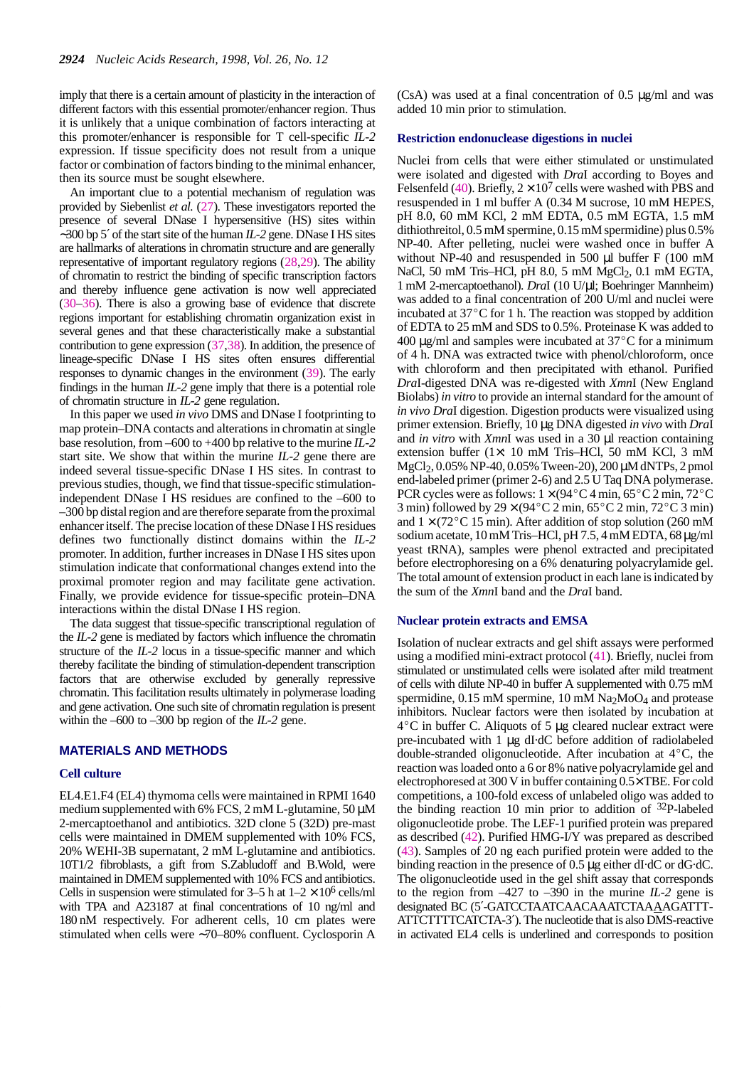imply that there is a certain amount of plasticity in the interaction of different factors with this essential promoter/enhancer region. Thus it is unlikely that a unique combination of factors interacting at this promoter/enhancer is responsible for T cell-specific *IL-2* expression. If tissue specificity does not result from a unique factor or combination of factors binding to the minimal enhancer, then its source must be sought elsewhere.

An important clue to a potential mechanism of regulation was provided by Siebenlist *et al.* (27). These investigators reported the presence of several DNase I hypersensitive (HS) sites within ∼300 bp 5′ of the start site of the human *IL-2* gene. DNase I HS sites are hallmarks of alterations in chromatin structure and are generally representative of important regulatory regions (28,29). The ability of chromatin to restrict the binding of specific transcription factors and thereby influence gene activation is now well appreciated (30–36). There is also a growing base of evidence that discrete regions important for establishing chromatin organization exist in several genes and that these characteristically make a substantial contribution to gene expression (37,38). In addition, the presence of lineage-specific DNase I HS sites often ensures differential responses to dynamic changes in the environment (39). The early findings in the human *IL-2* gene imply that there is a potential role of chromatin structure in *IL-2* gene regulation.

In this paper we used *in vivo* DMS and DNase I footprinting to map protein–DNA contacts and alterations in chromatin at single base resolution, from –600 to +400 bp relative to the murine *IL-2* start site. We show that within the murine *IL-2* gene there are indeed several tissue-specific DNase I HS sites. In contrast to previous studies, though, we find that tissue-specific stimulationindependent DNase I HS residues are confined to the –600 to –300 bp distal region and are therefore separate from the proximal enhancer itself. The precise location of these DNase I HS residues defines two functionally distinct domains within the *IL-2* promoter. In addition, further increases in DNase I HS sites upon stimulation indicate that conformational changes extend into the proximal promoter region and may facilitate gene activation. Finally, we provide evidence for tissue-specific protein–DNA interactions within the distal DNase I HS region.

The data suggest that tissue-specific transcriptional regulation of the *IL-2* gene is mediated by factors which influence the chromatin structure of the *IL-2* locus in a tissue-specific manner and which thereby facilitate the binding of stimulation-dependent transcription factors that are otherwise excluded by generally repressive chromatin. This facilitation results ultimately in polymerase loading and gene activation. One such site of chromatin regulation is present within the –600 to –300 bp region of the *IL-2* gene.

## **MATERIALS AND METHODS**

#### **Cell culture**

EL4.E1.F4 (EL4) thymoma cells were maintained in RPMI 1640 medium supplemented with 6% FCS, 2 mM L-glutamine, 50  $\mu$ M 2-mercaptoethanol and antibiotics. 32D clone 5 (32D) pre-mast cells were maintained in DMEM supplemented with 10% FCS, 20% WEHI-3B supernatant, 2 mM L-glutamine and antibiotics. 10T1/2 fibroblasts, a gift from S.Zabludoff and B.Wold, were maintained in DMEM supplemented with 10% FCS and antibiotics. Cells in suspension were stimulated for  $3-5$  h at  $1-2 \times 10^6$  cells/ml with TPA and A23187 at final concentrations of 10 ng/ml and 180 nM respectively. For adherent cells, 10 cm plates were stimulated when cells were ∼70–80% confluent. Cyclosporin A (CsA) was used at a final concentration of 0.5 µg/ml and was added 10 min prior to stimulation.

## **Restriction endonuclease digestions in nuclei**

Nuclei from cells that were either stimulated or unstimulated were isolated and digested with *Dra*I according to Boyes and Felsenfeld (40). Briefly,  $2 \times 10^7$  cells were washed with PBS and resuspended in 1 ml buffer A (0.34 M sucrose, 10 mM HEPES, pH 8.0, 60 mM KCl, 2 mM EDTA, 0.5 mM EGTA, 1.5 mM dithiothreitol, 0.5 mM spermine, 0.15 mM spermidine) plus 0.5% NP-40. After pelleting, nuclei were washed once in buffer A without NP-40 and resuspended in 500 µl buffer F (100 mM NaCl, 50 mM Tris–HCl, pH 8.0, 5 mM MgCl<sub>2</sub>, 0.1 mM EGTA, 1 mM 2-mercaptoethanol). *Dra*I (10 U/µl; Boehringer Mannheim) was added to a final concentration of 200 U/ml and nuclei were incubated at  $37^{\circ}$ C for 1 h. The reaction was stopped by addition of EDTA to 25 mM and SDS to 0.5%. Proteinase K was added to 400  $\mu$ g/ml and samples were incubated at 37 $\mathrm{^{\circ}C}$  for a minimum of 4 h. DNA was extracted twice with phenol/chloroform, once with chloroform and then precipitated with ethanol. Purified *Dra*I-digested DNA was re-digested with *Xmn*I (New England Biolabs) *in vitro* to provide an internal standard for the amount of *in vivo Dra*I digestion. Digestion products were visualized using primer extension. Briefly, 10 µg DNA digested *in vivo* with *Dra*I and *in vitro* with *Xmn*I was used in a 30 µl reaction containing extension buffer (1×: 10 mM Tris–HCl, 50 mM KCl, 3 mM MgCl<sub>2</sub>, 0.05% NP-40, 0.05% Tween-20), 200  $\mu$ M dNTPs, 2 pmol  $\text{degC}_{12}$ , 0.05% NT-40, 0.05% Tween-20), 200  $\mu$ WuTTT s, 2 pmore<br>end-labeled primer (primer 2-6) and 2.5 U Taq DNA polymerase.<br>PCR cycles were as follows:  $1 \times (94^{\circ} \text{C} 4 \text{ min}, 65^{\circ} \text{C} 2 \text{ min}, 72^{\circ} \text{C}$ PCR cycles were as follows:  $1 \times (94^{\circ}C4 \text{ min}, 65^{\circ}C2 \text{ min}, 72^{\circ}C3 \text{ min})$ <br>3 min) followed by  $29 \times (94^{\circ}C2 \text{ min}, 65^{\circ}C2 \text{ min}, 72^{\circ}C3 \text{ min})$ and  $1 \times (72^{\circ} \text{C } 15 \text{ min})$ . After addition of stop solution (260 mM sodium acetate, 10 mM Tris–HCl, pH 7.5, 4 mM EDTA, 68 µg/ml yeast tRNA), samples were phenol extracted and precipitated before electrophoresing on a 6% denaturing polyacrylamide gel. The total amount of extension product in each lane is indicated by the sum of the *Xmn*I band and the *Dra*I band.

#### **Nuclear protein extracts and EMSA**

Isolation of nuclear extracts and gel shift assays were performed using a modified mini-extract protocol (41). Briefly, nuclei from stimulated or unstimulated cells were isolated after mild treatment of cells with dilute NP-40 in buffer A supplemented with 0.75 mM spermidine,  $0.15$  mM spermine,  $10$  mM Na<sub>2</sub>MoO<sub>4</sub> and protease sperimently, 0.15 mM sperimet, 10 mM  $Na_2N0O4$  and protease<br>inhibitors. Nuclear factors were then isolated by incubation at<br> $4^{\circ}$ C in buffer C. Aliquots of 5  $\mu$ g cleared nuclear extract were pre-incubated with 1 µg dI·dC before addition of radiolabeled double-stranded oligonucleotide. After incubation at 4C, the reaction was loaded onto a 6 or 8% native polyacrylamide gel and electrophoresed at 300 V in buffer containing 0.5× TBE. For cold competitions, a 100-fold excess of unlabeled oligo was added to the binding reaction 10 min prior to addition of 32P-labeled oligonucleotide probe. The LEF-1 purified protein was prepared as described (42). Purified HMG-I/Y was prepared as described (43). Samples of 20 ng each purified protein were added to the binding reaction in the presence of 0.5 µg either dI·dC or dG·dC. The oligonucleotide used in the gel shift assay that corresponds to the region from  $-427$  to  $-390$  in the murine *IL-2* gene is designated BC (5′-GATCCTAATCAACAAATCTAAAAGATTT-ATTCTTTTCATCTA-3′). The nucleotide that is also DMS-reactive in activated EL4 cells is underlined and corresponds to position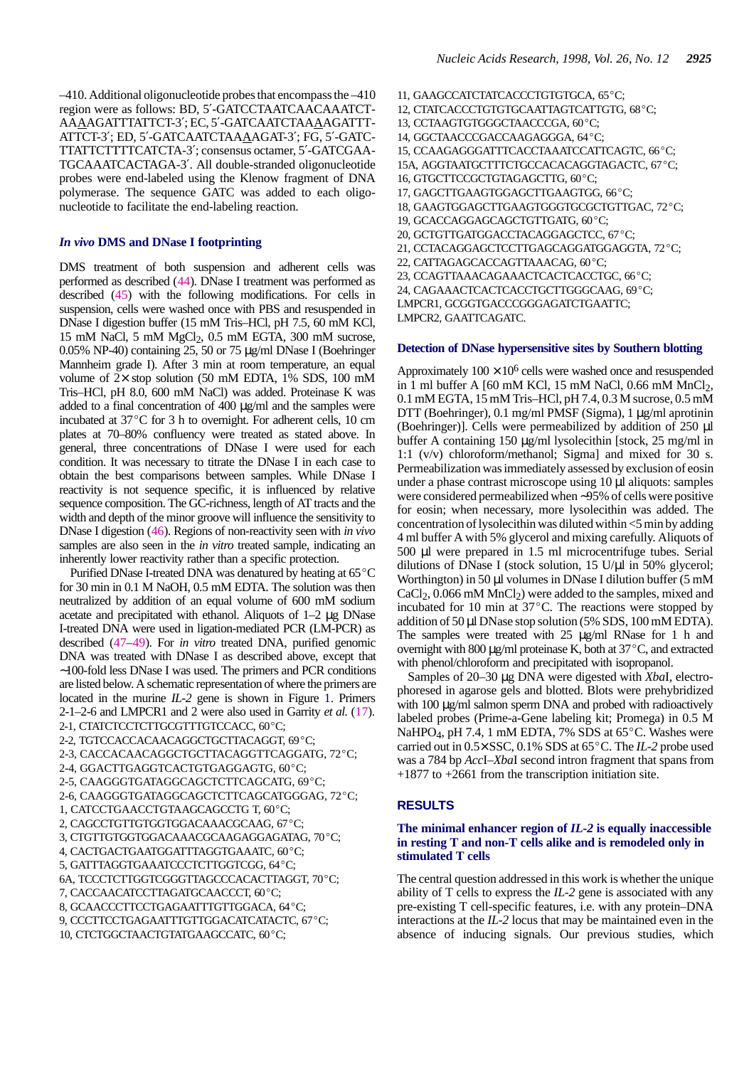–410. Additional oligonucleotide probes that encompass the –410 region were as follows: BD, 5′-GATCCTAATCAACAAATCT-AAAAGATTTATTCT-3′; EC, 5′-GATCAATCTAAAAGATTT-ATTCT-3′; ED, 5′-GATCAATCTAAAAGAT-3′; FG, 5′-GATC-TTATTCTTTTCATCTA-3′; consensus octamer, 5′-GATCGAA-TGCAAATCACTAGA-3′. All double-stranded oligonucleotide probes were end-labeled using the Klenow fragment of DNA polymerase. The sequence GATC was added to each oligonucleotide to facilitate the end-labeling reaction.

#### *In vivo* **DMS and DNase I footprinting**

DMS treatment of both suspension and adherent cells was performed as described (44). DNase I treatment was performed as described (45) with the following modifications. For cells in suspension, cells were washed once with PBS and resuspended in DNase I digestion buffer (15 mM Tris–HCl, pH 7.5, 60 mM KCl, 15 mM NaCl, 5 mM MgCl2, 0.5 mM EGTA, 300 mM sucrose, 0.05% NP-40) containing 25, 50 or 75 µg/ml DNase I (Boehringer Mannheim grade I). After 3 min at room temperature, an equal volume of 2× stop solution (50 mM EDTA, 1% SDS, 100 mM Tris–HCl, pH 8.0, 600 mM NaCl) was added. Proteinase K was FIS-TIC,  $\overline{p11}$  6.0, 600 flux NaCl) was added. From the samples were incubated at 37 °C for 3 h to overnight. For adherent cells, 10 cm plates at 70–80% confluency were treated as stated above. In general, three concentrations of DNase I were used for each condition. It was necessary to titrate the DNase I in each case to obtain the best comparisons between samples. While DNase I reactivity is not sequence specific, it is influenced by relative sequence composition. The GC-richness, length of AT tracts and the width and depth of the minor groove will influence the sensitivity to DNase I digestion (46). Regions of non-reactivity seen with *in vivo* samples are also seen in the *in vitro* treated sample, indicating an inherently lower reactivity rather than a specific protection.

Purified DNase I-treated DNA was denatured by heating at  $65^{\circ}$ C for 30 min in 0.1 M NaOH, 0.5 mM EDTA. The solution was then neutralized by addition of an equal volume of 600 mM sodium acetate and precipitated with ethanol. Aliquots of 1–2 µg DNase I-treated DNA were used in ligation-mediated PCR (LM-PCR) as described (47–49). For *in vitro* treated DNA, purified genomic DNA was treated with DNase I as described above, except that ∼100-fold less DNase I was used. The primers and PCR conditions are listed below. A schematic representation of where the primers are located in the murine *IL-2* gene is shown in Figure 1. Primers 2-1–2-6 and LMPCR1 and 2 were also used in Garrity *et al.* (17).<br>2-1, CTATCTCCTCTTGCGTTTGTCCACC, 60<sup>o</sup>C; 2-1, CTATCTCCTCTTGCGTTTGTCCACC, 60°C;<br>2-2, TGTCCACCACAACAGGCTGCTTACAGGT, 69°C; 2-3, CACCACAACAGGCTGCTTACAGGTTCAGGATG, 72°C; 2-4, GGACTTGAGGTCACTGTGAGGAGTG, 60°C; 2-5, CAAGGGTGATAGGCAGCTCTTCAGCATG, 69°C; - 3, CAAGGGTGATAGGCAGCTCTTCAGCATG, 69°C;<br>2-5, CAAGGGTGATAGGCAGCTCTTCAGCATG, 69°C;<br>2-6, CAAGGGTGATAGGCAGCTCTTCAGCATGGGAG, 72°C; - -, CAAGGGTGATAGGCAGCTCTTCAGCATG<br>2-6, CAAGGGTGATAGGCAGCTCTTCAGCATG<br>1, CATCCTGAACCTGTAAGCAGCCTG T, 60°C; 1, CATCCTGAACCTGTAAGCAGCCTG T, 60°C;<br>2, CAGCCTGTTGTGGTGGACAAACGCAAG, 67°C; 3, CTGTTGTGGTGGACAAACGCAAGAGGAGATAG, 70°C; 4, CACTGACTGAATGGATTTAGGTGAAATC, 60°C; 5, GATTTAGGTGAAATCCCTCTTGGTCGG, 64°C; .<br>5, GATTTAGGTGAAATCCCTCTTGGTCGG, 64°C;<br>6A, TCCCTCTTGGTCGGGTTAGCCCACACTTAGGT, 70°C; 7, CACCAACATCCTTAGATGCAACCCT, 60C; 7, CACCAACATCCTTAGATGCAACCCT, 60°C;<br>8, GCAACCCTTCCTGAGAATTTGTTGGACA, 64°C; 9, CCCTTCCTGAGAATTTGTTGGACATCATACTC, 67°C; 10, CTCTGGCTAACTGTATGAAGCCATC, 60°C;

11, GAAGCCATCTATCACCCTGTGTGCA, 65°C; 11, GAAGCCATCTATCACCCTGTGTGCA, 65°C;<br>12, CTATCACCCTGTGTGCAATTAGTCATTGTG, 68°C; 12, CTATCACCCTGTGTGCAATTAGTCATT<br>13, CCTAAGTGTGGGCTAACCCGA, 60°C; 13, CCTAAGTGTGGGCTAACCCGA, 60°C;<br>14, GGCTAACCCGACCAAGAGGGA, 64°C; 15, CCAAGAGGGATTTCACCTAAATCCATTCAGTC, 66°C; 15A, AGGTAATGCTTTCTGCCACACAGGTAGACTC, 67°C; 16, GTGCTTCCGCTGTAGAGCTTG, 60°C; 17, GAGCTTGAAGTGGAGCTTGAAGTGG, 66°C; .<br>17, GAGCTTGAAGTGGAGCTTGAAGTGG, 66°C;<br>18, GAAGTGGAGCTTGAAGTGGGTGCGCTGTTGAC, 72°C; 18, GAAGTGGAGCTTGAAGTGGGTGCGCT<br>19, GCACCAGGAGCAGCTGTTGATG, 60°C; 19, GCACCAGGAGCAGCTGTTGATG, 60°C;<br>20, GCTGTTGATGGACCTACAGGAGCTCC, 67°C; 21, CCTACAGGAGCTCCTTGAGCAGGATGGAGGTA, 72C; --,<br>21, CCTACAGGAGCTCCTTGAGCAGGATG<br>22, CATTAGAGCACCAGTTAAACAG, 60°C; 23, CCAGTTAAACAGAAACTCACTCACCTGC, 66C; .<br>23, CCAGTTAAACAGAAACTCACTCACCTGC, 66°C;<br>24, CAGAAACTCACTCACCTGCTTGGGCAAG, 69°C; LMPCR1, GCGGTGACCCGGGAGATCTGAATTC; LMPCR2, GAATTCAGATC.

#### **Detection of DNase hypersensitive sites by Southern blotting**

Approximately  $100 \times 10^6$  cells were washed once and resuspended in 1 ml buffer A  $[60 \text{ mM KCl}, 15 \text{ mM NaCl}, 0.66 \text{ mM MnCl}_2$ , 0.1 mM EGTA, 15 mM Tris–HCl, pH 7.4, 0.3 M sucrose, 0.5 mM DTT (Boehringer), 0.1 mg/ml PMSF (Sigma), 1 µg/ml aprotinin (Boehringer)]. Cells were permeabilized by addition of 250 µl buffer A containing 150 µg/ml lysolecithin [stock, 25 mg/ml in 1:1 (v/v) chloroform/methanol; Sigma] and mixed for 30 s. Permeabilization was immediately assessed by exclusion of eosin under a phase contrast microscope using 10 µl aliquots: samples were considered permeabilized when ∼95% of cells were positive for eosin; when necessary, more lysolecithin was added. The concentration of lysolecithin was diluted within <5 min by adding 4 ml buffer A with 5% glycerol and mixing carefully. Aliquots of 500 µl were prepared in 1.5 ml microcentrifuge tubes. Serial dilutions of DNase I (stock solution,  $15 \text{ U/}\mu$ l in  $50\%$  glycerol; Worthington) in 50 µl volumes in DNase I dilution buffer (5 mM  $CaCl<sub>2</sub>$ , 0.066 mM MnCl<sub>2</sub>) were added to the samples, mixed and incubated for 10 min at  $37^{\circ}$ C. The reactions were stopped by addition of 50 µl DNase stop solution (5% SDS, 100 mM EDTA). The samples were treated with  $25 \mu g/ml$  RNase for 1 h and overnight with  $800 \mu g/ml$  proteinase K, both at  $37^{\circ}$ C, and extracted with phenol/chloroform and precipitated with isopropanol.

Samples of 20–30 µg DNA were digested with *Xba*I, electrophoresed in agarose gels and blotted. Blots were prehybridized with 100  $\mu$ g/ml salmon sperm DNA and probed with radioactively labeled probes (Prime-a-Gene labeling kit; Promega) in 0.5 M with 100 <u>juginh sannon sperifi Diversion</u> booked with radioactively<br>labeled probes (Prime-a-Gene labeling kit; Promega) in 0.5 M<br>NaHPO<sub>4</sub>, pH 7.4, 1 mM EDTA, 7% SDS at 65<sup>°</sup>C. Washes were rabeled proces (1 rine-a-Gene rabeling Krt, 1 rollega) in 0.5 Kr<br>NaHPO<sub>4</sub>, pH 7.4, 1 mM EDTA, 7% SDS at 65<sup>o</sup>C. Washes were<br>carried out in 0.5× SSC, 0.1% SDS at 65<sup>o</sup>C. The *IL-2* probe used was a 784 bp *Acc*I–*Xba*I second intron fragment that spans from  $+1877$  to  $+2661$  from the transcription initiation site.

## **RESULTS**

## **The minimal enhancer region of** *IL-2* **is equally inaccessible in resting T and non-T cells alike and is remodeled only in stimulated T cells**

The central question addressed in this work is whether the unique ability of T cells to express the *IL-2* gene is associated with any pre-existing T cell-specific features, i.e. with any protein–DNA interactions at the *IL-2* locus that may be maintained even in the absence of inducing signals. Our previous studies, which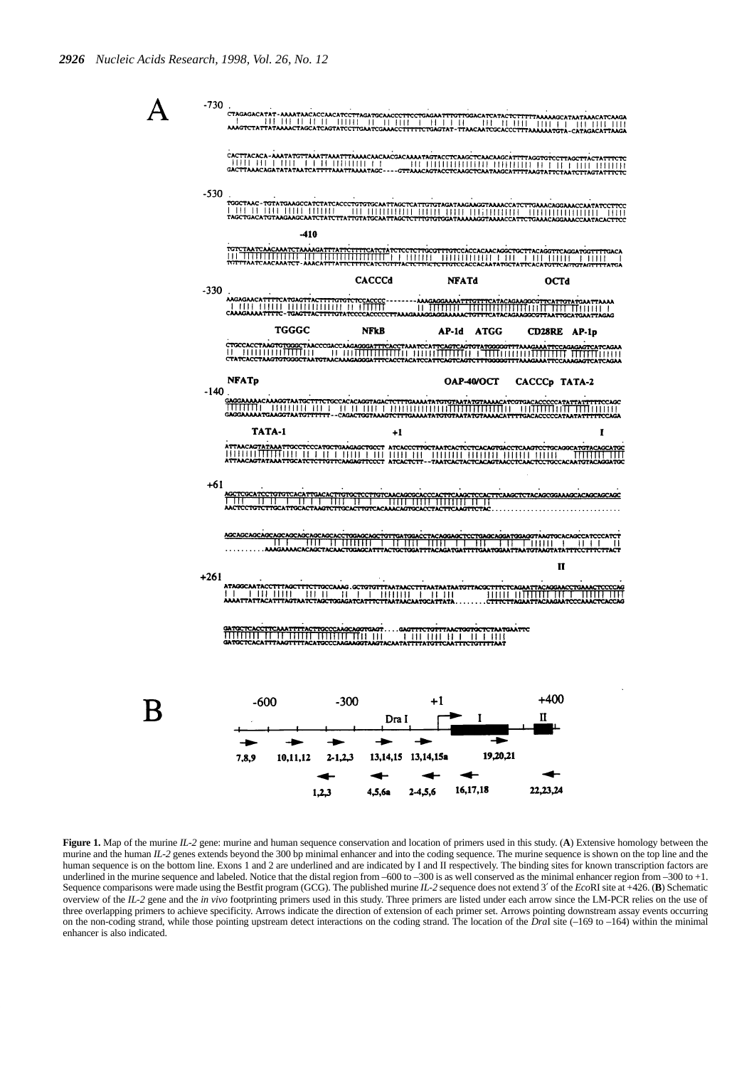



Figure 1. Map of the murine *IL-2* gene: murine and human sequence conservation and location of primers used in this study. (A) Extensive homology between the murine and the human *IL-2* genes extends beyond the 300 bp minimal enhancer and into the coding sequence. The murine sequence is shown on the top line and the human sequence is on the bottom line. Exons 1 and 2 are underlined and are indicated by I and II respectively. The binding sites for known transcription factors are underlined in the murine sequence and labeled. Notice that the distal region from –600 to –300 is as well conserved as the minimal enhancer region from –300 to +1. Sequence comparisons were made using the Bestfit program (GCG). The published murine *IL-2* sequence does not extend 3′ of the *Eco*RI site at +426. (**B**) Schematic overview of the *IL-2* gene and the *in vivo* footprinting primers used in this study. Three primers are listed under each arrow since the LM-PCR relies on the use of three overlapping primers to achieve specificity. Arrows indicate the direction of extension of each primer set. Arrows pointing downstream assay events occurring on the non-coding strand, while those pointing upstream detect interactions on the coding strand. The location of the *DraI* site (–169 to –164) within the minimal enhancer is also indicated.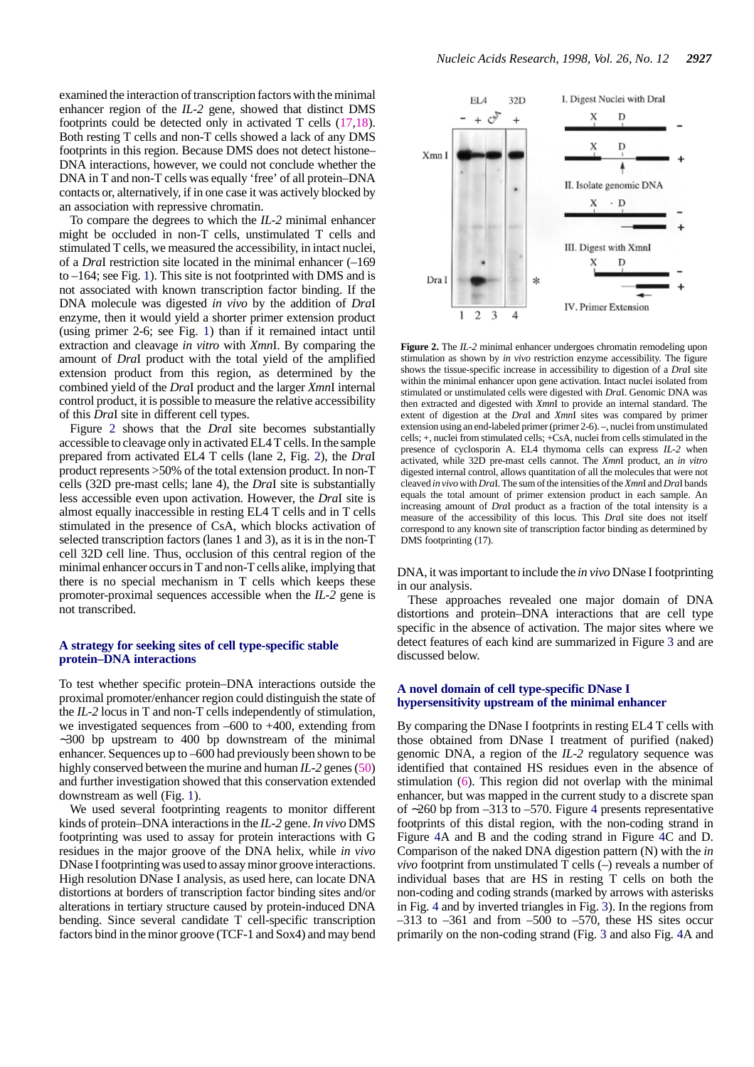examined the interaction of transcription factors with the minimal enhancer region of the *IL-2* gene, showed that distinct DMS footprints could be detected only in activated T cells (17,18). Both resting T cells and non-T cells showed a lack of any DMS footprints in this region. Because DMS does not detect histone– DNA interactions, however, we could not conclude whether the DNA in T and non-T cells was equally 'free' of all protein–DNA contacts or, alternatively, if in one case it was actively blocked by an association with repressive chromatin.

To compare the degrees to which the *IL-2* minimal enhancer might be occluded in non-T cells, unstimulated T cells and stimulated T cells, we measured the accessibility, in intact nuclei, of a *Dra*I restriction site located in the minimal enhancer (–169 to –164; see Fig. 1). This site is not footprinted with DMS and is not associated with known transcription factor binding. If the DNA molecule was digested *in vivo* by the addition of *Dra*I enzyme, then it would yield a shorter primer extension product (using primer 2-6; see Fig. 1) than if it remained intact until extraction and cleavage *in vitro* with *Xmn*I. By comparing the amount of *Dra*I product with the total yield of the amplified extension product from this region, as determined by the combined yield of the *Dra*I product and the larger *Xmn*I internal control product, it is possible to measure the relative accessibility of this *Dra*I site in different cell types.

Figure 2 shows that the *Dra*I site becomes substantially accessible to cleavage only in activated EL4 T cells. In the sample prepared from activated EL4 T cells (lane 2, Fig. 2), the *Dra*I product represents >50% of the total extension product. In non-T cells (32D pre-mast cells; lane 4), the *Dra*I site is substantially less accessible even upon activation. However, the *Dra*I site is almost equally inaccessible in resting EL4 T cells and in T cells stimulated in the presence of CsA, which blocks activation of selected transcription factors (lanes 1 and 3), as it is in the non-T cell 32D cell line. Thus, occlusion of this central region of the minimal enhancer occurs in T and non-T cells alike, implying that there is no special mechanism in T cells which keeps these promoter-proximal sequences accessible when the *IL-2* gene is not transcribed.

#### **A strategy for seeking sites of cell type-specific stable protein–DNA interactions**

To test whether specific protein–DNA interactions outside the proximal promoter/enhancer region could distinguish the state of the *IL-2* locus in T and non-T cells independently of stimulation, we investigated sequences from –600 to +400, extending from ∼300 bp upstream to 400 bp downstream of the minimal enhancer. Sequences up to –600 had previously been shown to be highly conserved between the murine and human *IL-2* genes (50) and further investigation showed that this conservation extended downstream as well (Fig. 1).

We used several footprinting reagents to monitor different kinds of protein–DNA interactions in the *IL-2* gene. *In vivo* DMS footprinting was used to assay for protein interactions with G residues in the major groove of the DNA helix, while *in vivo* DNase I footprinting was used to assay minor groove interactions. High resolution DNase I analysis, as used here, can locate DNA distortions at borders of transcription factor binding sites and/or alterations in tertiary structure caused by protein-induced DNA bending. Since several candidate T cell-specific transcription factors bind in the minor groove (TCF-1 and Sox4) and may bend



**Figure 2.** The *IL-2* minimal enhancer undergoes chromatin remodeling upon stimulation as shown by *in vivo* restriction enzyme accessibility. The figure shows the tissue-specific increase in accessibility to digestion of a *Dra*I site within the minimal enhancer upon gene activation. Intact nuclei isolated from stimulated or unstimulated cells were digested with *Dra*I. Genomic DNA was then extracted and digested with *Xmn*I to provide an internal standard. The extent of digestion at the *Dra*I and *Xmn*I sites was compared by primer extension using an end-labeled primer (primer 2-6). –, nuclei from unstimulated cells; +, nuclei from stimulated cells; +CsA, nuclei from cells stimulated in the presence of cyclosporin A. EL4 thymoma cells can express *IL-2* when activated, while 32D pre-mast cells cannot. The *Xmn*I product, an *in vitro* digested internal control, allows quantitation of all the molecules that were not cleaved *in vivo* with *Dra*I. The sum of the intensities of the *Xmn*I and *Dra*I bands equals the total amount of primer extension product in each sample. An increasing amount of *Dra*I product as a fraction of the total intensity is a measure of the accessibility of this locus. This *Dra*I site does not itself correspond to any known site of transcription factor binding as determined by DMS footprinting (17).

DNA, it was important to include the *in vivo* DNase I footprinting in our analysis.

These approaches revealed one major domain of DNA distortions and protein–DNA interactions that are cell type specific in the absence of activation. The major sites where we detect features of each kind are summarized in Figure 3 and are discussed below.

## **A novel domain of cell type-specific DNase I hypersensitivity upstream of the minimal enhancer**

By comparing the DNase I footprints in resting EL4 T cells with those obtained from DNase I treatment of purified (naked) genomic DNA, a region of the *IL-2* regulatory sequence was identified that contained HS residues even in the absence of stimulation (6). This region did not overlap with the minimal enhancer, but was mapped in the current study to a discrete span of ∼260 bp from –313 to –570. Figure 4 presents representative footprints of this distal region, with the non-coding strand in Figure 4A and B and the coding strand in Figure 4C and D. Comparison of the naked DNA digestion pattern (N) with the *in vivo* footprint from unstimulated T cells (–) reveals a number of individual bases that are HS in resting T cells on both the non-coding and coding strands (marked by arrows with asterisks in Fig. 4 and by inverted triangles in Fig. 3). In the regions from  $-313$  to  $-361$  and from  $-500$  to  $-570$ , these HS sites occur primarily on the non-coding strand (Fig. 3 and also Fig. 4A and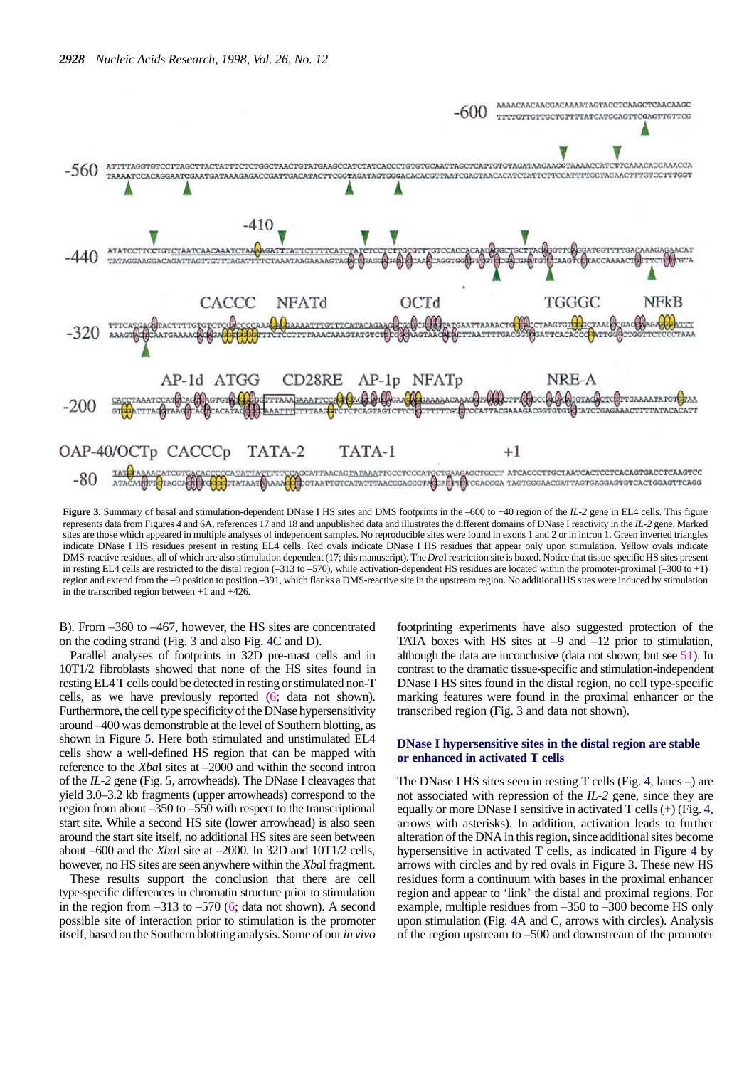

**Figure 3.** Summary of basal and stimulation-dependent DNase I HS sites and DMS footprints in the –600 to +40 region of the *IL-2* gene in EL4 cells. This figure represents data from Figures 4 and 6A, references 17 and 18 and unpublished data and illustrates the different domains of DNase I reactivity in the *IL-2* gene. Marked sites are those which appeared in multiple analyses of independent samples. No reproducible sites were found in exons 1 and 2 or in intron 1. Green inverted triangles indicate DNase I HS residues present in resting EL4 cells. Red ovals indicate DNase I HS residues that appear only upon stimulation. Yellow ovals indicate DMS-reactive residues, all of which are also stimulation dependent (17; this manuscript). The *Dra*I restriction site is boxed. Notice that tissue-specific HS sites present in resting EL4 cells are restricted to the distal region (–313 to –570), while activation-dependent HS residues are located within the promoter-proximal (–300 to +1) region and extend from the –9 position to position –391, which flanks a DMS-reactive site in the upstream region. No additional HS sites were induced by stimulation in the transcribed region between +1 and +426.

B). From –360 to –467, however, the HS sites are concentrated on the coding strand (Fig. 3 and also Fig. 4C and D).

Parallel analyses of footprints in 32D pre-mast cells and in 10T1/2 fibroblasts showed that none of the HS sites found in resting EL4 T cells could be detected in resting or stimulated non-T cells, as we have previously reported (6; data not shown). Furthermore, the cell type specificity of the DNase hypersensitivity around –400 was demonstrable at the level of Southern blotting, as shown in Figure 5. Here both stimulated and unstimulated EL4 cells show a well-defined HS region that can be mapped with reference to the *Xba*I sites at –2000 and within the second intron of the *IL-2* gene (Fig. 5, arrowheads). The DNase I cleavages that yield 3.0–3.2 kb fragments (upper arrowheads) correspond to the region from about –350 to –550 with respect to the transcriptional start site. While a second HS site (lower arrowhead) is also seen around the start site itself, no additional HS sites are seen between about –600 and the *Xba*I site at –2000. In 32D and 10T1/2 cells, however, no HS sites are seen anywhere within the *Xba*I fragment.

These results support the conclusion that there are cell type-specific differences in chromatin structure prior to stimulation in the region from  $-313$  to  $-570$  (6; data not shown). A second possible site of interaction prior to stimulation is the promoter itself, based on the Southern blotting analysis. Some of our *in vivo*

footprinting experiments have also suggested protection of the TATA boxes with HS sites at  $-9$  and  $-12$  prior to stimulation, although the data are inconclusive (data not shown; but see 51). In contrast to the dramatic tissue-specific and stimulation-independent DNase I HS sites found in the distal region, no cell type-specific marking features were found in the proximal enhancer or the transcribed region (Fig. 3 and data not shown).

## **DNase I hypersensitive sites in the distal region are stable or enhanced in activated T cells**

The DNase I HS sites seen in resting T cells (Fig. 4, lanes –) are not associated with repression of the *IL-2* gene, since they are equally or more DNase I sensitive in activated T cells (+) (Fig. 4, arrows with asterisks). In addition, activation leads to further alteration of the DNA in this region, since additional sites become hypersensitive in activated T cells, as indicated in Figure 4 by arrows with circles and by red ovals in Figure 3. These new HS residues form a continuum with bases in the proximal enhancer region and appear to 'link' the distal and proximal regions. For example, multiple residues from –350 to –300 become HS only upon stimulation (Fig. 4A and C, arrows with circles). Analysis of the region upstream to –500 and downstream of the promoter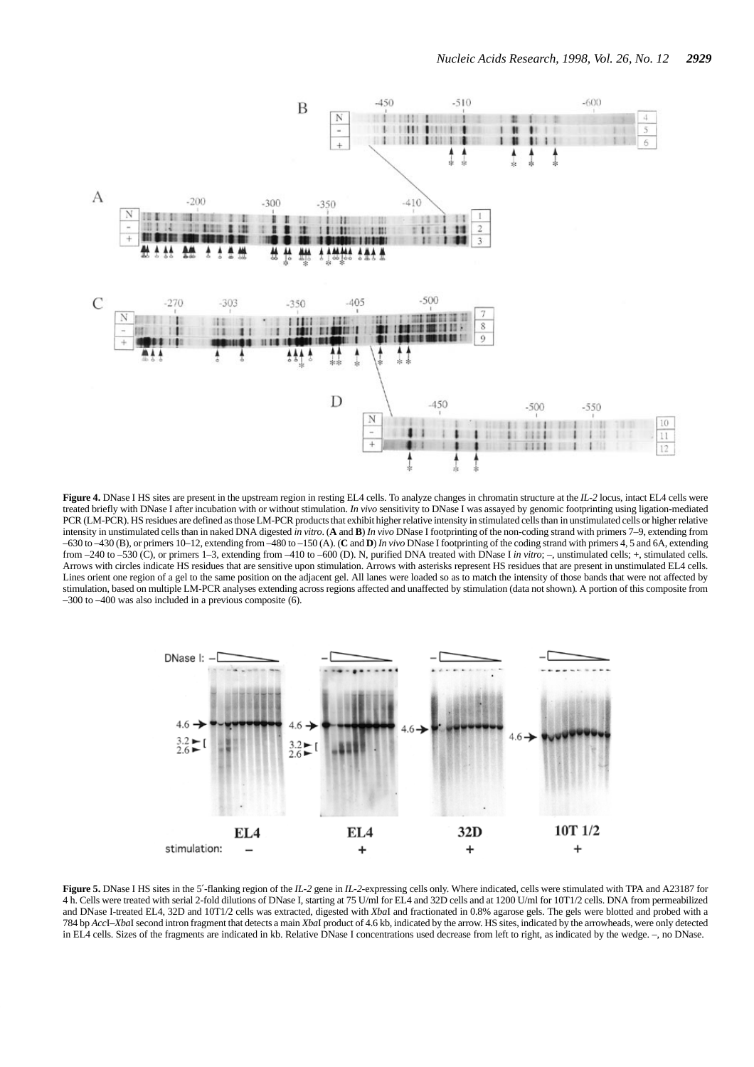

**Figure 4.** DNase I HS sites are present in the upstream region in resting EL4 cells. To analyze changes in chromatin structure at the *IL-2* locus, intact EL4 cells were treated briefly with DNase I after incubation with or without stimulation. *In vivo* sensitivity to DNase I was assayed by genomic footprinting using ligation-mediated PCR (LM-PCR). HS residues are defined as those LM-PCR products that exhibit higher relative intensity in stimulated cells than in unstimulated cells or higher relative intensity in unstimulated cells than in naked DNA digested *in vitro*. (**A** and **B**) *In vivo* DNase I footprinting of the non-coding strand with primers 7–9, extending from –630 to –430 (B), or primers 10–12, extending from –480 to –150 (A). (**C** and **D**) *In vivo* DNase I footprinting of the coding strand with primers 4, 5 and 6A, extending from –240 to –530 (C), or primers 1–3, extending from –410 to –600 (D). N, purified DNA treated with DNase I *in vitro*; –, unstimulated cells; +, stimulated cells. Arrows with circles indicate HS residues that are sensitive upon stimulation. Arrows with asterisks represent HS residues that are present in unstimulated EL4 cells. Lines orient one region of a gel to the same position on the adjacent gel. All lanes were loaded so as to match the intensity of those bands that were not affected by stimulation, based on multiple LM-PCR analyses extending across regions affected and unaffected by stimulation (data not shown). A portion of this composite from –300 to –400 was also included in a previous composite (6).



**Figure 5.** DNase I HS sites in the 5′-flanking region of the *IL-2* gene in *IL-2*-expressing cells only. Where indicated, cells were stimulated with TPA and A23187 for 4 h. Cells were treated with serial 2-fold dilutions of DNase I, starting at 75 U/ml for EL4 and 32D cells and at 1200 U/ml for 10T1/2 cells. DNA from permeabilized and DNase I-treated EL4, 32D and 10T1/2 cells was extracted, digested with *Xba*I and fractionated in 0.8% agarose gels. The gels were blotted and probed with a 784 bp *Acc*I–*Xba*I second intron fragment that detects a main *Xba*I product of 4.6 kb, indicated by the arrow. HS sites, indicated by the arrowheads, were only detected in EL4 cells. Sizes of the fragments are indicated in kb. Relative DNase I concentrations used decrease from left to right, as indicated by the wedge. –, no DNase.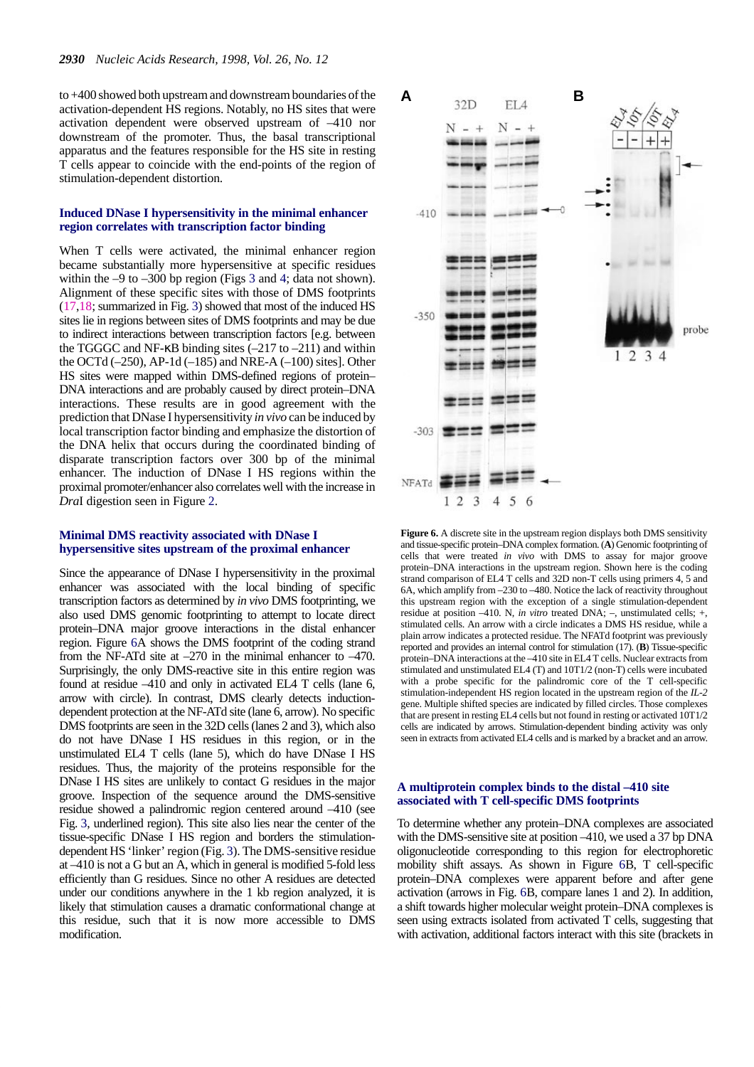to +400 showed both upstream and downstream boundaries of the activation-dependent HS regions. Notably, no HS sites that were activation dependent were observed upstream of –410 nor downstream of the promoter. Thus, the basal transcriptional apparatus and the features responsible for the HS site in resting T cells appear to coincide with the end-points of the region of stimulation-dependent distortion.

## **Induced DNase I hypersensitivity in the minimal enhancer region correlates with transcription factor binding**

When T cells were activated, the minimal enhancer region became substantially more hypersensitive at specific residues within the –9 to –300 bp region (Figs 3 and 4; data not shown). Alignment of these specific sites with those of DMS footprints (17,18; summarized in Fig. 3) showed that most of the induced HS sites lie in regions between sites of DMS footprints and may be due to indirect interactions between transcription factors [e.g. between the TGGGC and NF- $\kappa$ B binding sites (-217 to -211) and within the OCTd  $(-250)$ , AP-1d  $(-185)$  and NRE-A  $(-100)$  sites]. Other HS sites were mapped within DMS-defined regions of protein– DNA interactions and are probably caused by direct protein–DNA interactions. These results are in good agreement with the prediction that DNase I hypersensitivity *in vivo* can be induced by local transcription factor binding and emphasize the distortion of the DNA helix that occurs during the coordinated binding of disparate transcription factors over 300 bp of the minimal enhancer. The induction of DNase I HS regions within the proximal promoter/enhancer also correlates well with the increase in *Dra*I digestion seen in Figure 2.

## **Minimal DMS reactivity associated with DNase I hypersensitive sites upstream of the proximal enhancer**

Since the appearance of DNase I hypersensitivity in the proximal enhancer was associated with the local binding of specific transcription factors as determined by *in vivo* DMS footprinting, we also used DMS genomic footprinting to attempt to locate direct protein–DNA major groove interactions in the distal enhancer region. Figure 6A shows the DMS footprint of the coding strand from the NF-ATd site at –270 in the minimal enhancer to –470. Surprisingly, the only DMS-reactive site in this entire region was found at residue –410 and only in activated EL4 T cells (lane 6, arrow with circle). In contrast, DMS clearly detects inductiondependent protection at the NF-ATd site (lane 6, arrow). No specific DMS footprints are seen in the 32D cells (lanes 2 and 3), which also do not have DNase I HS residues in this region, or in the unstimulated EL4 T cells (lane 5), which do have DNase I HS residues. Thus, the majority of the proteins responsible for the DNase I HS sites are unlikely to contact G residues in the major groove. Inspection of the sequence around the DMS-sensitive residue showed a palindromic region centered around –410 (see Fig. 3, underlined region). This site also lies near the center of the tissue-specific DNase I HS region and borders the stimulationdependent HS 'linker' region (Fig. 3). The DMS-sensitive residue at –410 is not a G but an A, which in general is modified 5-fold less efficiently than G residues. Since no other A residues are detected under our conditions anywhere in the 1 kb region analyzed, it is likely that stimulation causes a dramatic conformational change at this residue, such that it is now more accessible to DMS modification.



**Figure 6.** A discrete site in the upstream region displays both DMS sensitivity and tissue-specific protein–DNA complex formation. (**A**) Genomic footprinting of cells that were treated *in vivo* with DMS to assay for major groove protein–DNA interactions in the upstream region. Shown here is the coding strand comparison of EL4 T cells and 32D non-T cells using primers 4, 5 and 6A, which amplify from –230 to –480. Notice the lack of reactivity throughout this upstream region with the exception of a single stimulation-dependent residue at position –410. N, *in vitro* treated DNA; –, unstimulated cells; +, stimulated cells. An arrow with a circle indicates a DMS HS residue, while a plain arrow indicates a protected residue. The NFATd footprint was previously reported and provides an internal control for stimulation (17). (**B**) Tissue-specific protein–DNA interactions at the –410 site in EL4 T cells. Nuclear extracts from stimulated and unstimulated EL4 (T) and 10T1/2 (non-T) cells were incubated with a probe specific for the palindromic core of the T cell-specific stimulation-independent HS region located in the upstream region of the *IL-2* gene. Multiple shifted species are indicated by filled circles. Those complexes that are present in resting EL4 cells but not found in resting or activated 10T1/2 cells are indicated by arrows. Stimulation-dependent binding activity was only seen in extracts from activated EL4 cells and is marked by a bracket and an arrow.

#### **A multiprotein complex binds to the distal –410 site associated with T cell-specific DMS footprints**

To determine whether any protein–DNA complexes are associated with the DMS-sensitive site at position –410, we used a 37 bp DNA oligonucleotide corresponding to this region for electrophoretic mobility shift assays. As shown in Figure 6B, T cell-specific protein–DNA complexes were apparent before and after gene activation (arrows in Fig. 6B, compare lanes 1 and 2). In addition, a shift towards higher molecular weight protein–DNA complexes is seen using extracts isolated from activated T cells, suggesting that with activation, additional factors interact with this site (brackets in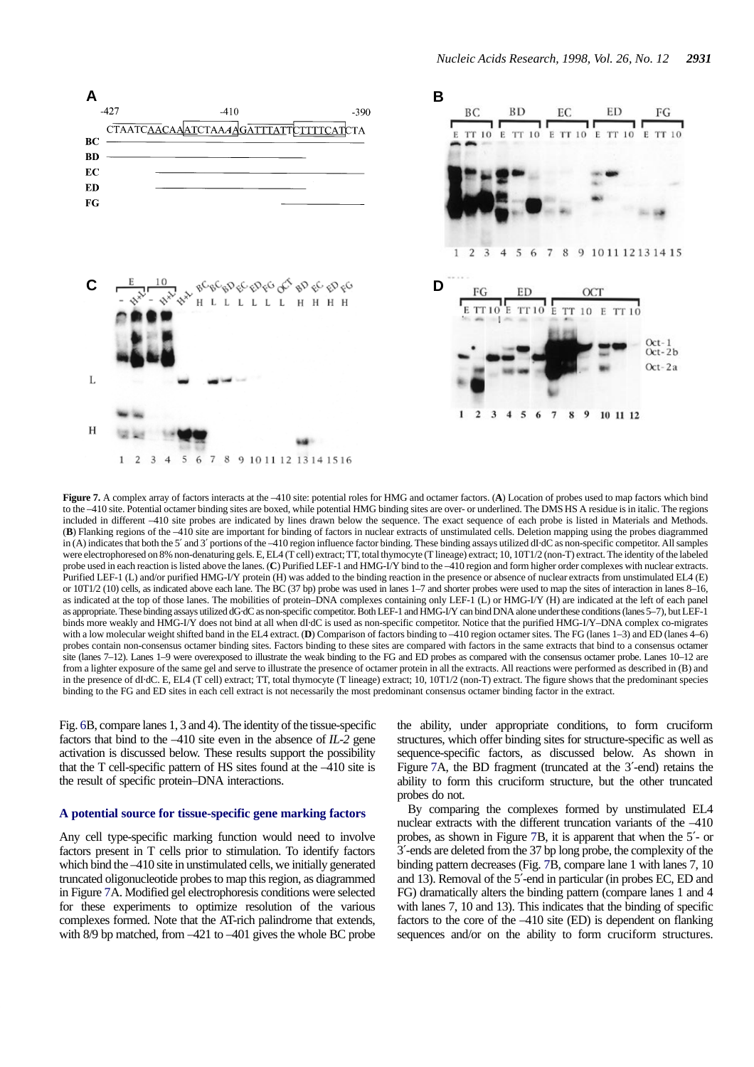

**Figure 7.** A complex array of factors interacts at the –410 site: potential roles for HMG and octamer factors. (**A**) Location of probes used to map factors which bind to the -410 site. Potential octamer binding sites are boxed, while potential HMG binding sites are over- or underlined. The DMS HS A residue is in italic. The regions included in different –410 site probes are indicated by lines drawn below the sequence. The exact sequence of each probe is listed in Materials and Methods. (**B**) Flanking regions of the –410 site are important for binding of factors in nuclear extracts of unstimulated cells. Deletion mapping using the probes diagrammed in (A) indicates that both the 5′ and 3′ portions of the –410 region influence factor binding. These binding assays utilized dI·dC as non-specific competitor. All samples were electrophoresed on 8% non-denaturing gels. E, EL4 (T cell) extract; TT, total thymocyte (T lineage) extract; 10, 10T1/2 (non-T) extract. The identity of the labeled probe used in each reaction is listed above the lanes. (**C**) Purified LEF-1 and HMG-I/Y bind to the –410 region and form higher order complexes with nuclear extracts. Purified LEF-1 (L) and/or purified HMG-I/Y protein (H) was added to the binding reaction in the presence or absence of nuclear extracts from unstimulated EL4 (E) or 10T1/2 (10) cells, as indicated above each lane. The BC (37 bp) probe was used in lanes 1–7 and shorter probes were used to map the sites of interaction in lanes 8–16, as indicated at the top of those lanes. The mobilities of protein–DNA complexes containing only LEF-1 (L) or HMG-I/Y (H) are indicated at the left of each panel as appropriate. These binding assays utilized dG·dC as non-specific competitor. Both LEF-1 and HMG-I/Y can bind DNA alone under these conditions (lanes 5–7), but LEF-1 binds more weakly and HMG-I/Y does not bind at all when dI·dC is used as non-specific competitor. Notice that the purified HMG-I/Y–DNA complex co-migrates with a low molecular weight shifted band in the EL4 extract. (D) Comparison of factors binding to -410 region octamer sites. The FG (lanes 1-3) and ED (lanes 4-6) probes contain non-consensus octamer binding sites. Factors binding to these sites are compared with factors in the same extracts that bind to a consensus octamer site (lanes 7–12). Lanes 1–9 were overexposed to illustrate the weak binding to the FG and ED probes as compared with the consensus octamer probe. Lanes 10–12 are from a lighter exposure of the same gel and serve to illustrate the presence of octamer protein in all the extracts. All reactions were performed as described in (B) and in the presence of dI·dC. E, EL4 (T cell) extract; TT, total thymocyte (T lineage) extract; 10, 10T1/2 (non-T) extract. The figure shows that the predominant species binding to the FG and ED sites in each cell extract is not necessarily the most predominant consensus octamer binding factor in the extract.

Fig. 6B, compare lanes 1, 3 and 4). The identity of the tissue-specific factors that bind to the –410 site even in the absence of *IL-2* gene activation is discussed below. These results support the possibility that the T cell-specific pattern of HS sites found at the –410 site is the result of specific protein–DNA interactions.

## **A potential source for tissue-specific gene marking factors**

Any cell type-specific marking function would need to involve factors present in T cells prior to stimulation. To identify factors which bind the –410 site in unstimulated cells, we initially generated truncated oligonucleotide probes to map this region, as diagrammed in Figure 7A. Modified gel electrophoresis conditions were selected for these experiments to optimize resolution of the various complexes formed. Note that the AT-rich palindrome that extends, with 8/9 bp matched, from –421 to –401 gives the whole BC probe the ability, under appropriate conditions, to form cruciform structures, which offer binding sites for structure-specific as well as sequence-specific factors, as discussed below. As shown in Figure 7A, the BD fragment (truncated at the 3′-end) retains the ability to form this cruciform structure, but the other truncated probes do not.

By comparing the complexes formed by unstimulated EL4 nuclear extracts with the different truncation variants of the –410 probes, as shown in Figure 7B, it is apparent that when the 5′- or 3′-ends are deleted from the 37 bp long probe, the complexity of the binding pattern decreases (Fig. 7B, compare lane 1 with lanes 7, 10 and 13). Removal of the 5′-end in particular (in probes EC, ED and FG) dramatically alters the binding pattern (compare lanes 1 and 4 with lanes 7, 10 and 13). This indicates that the binding of specific factors to the core of the –410 site (ED) is dependent on flanking sequences and/or on the ability to form cruciform structures.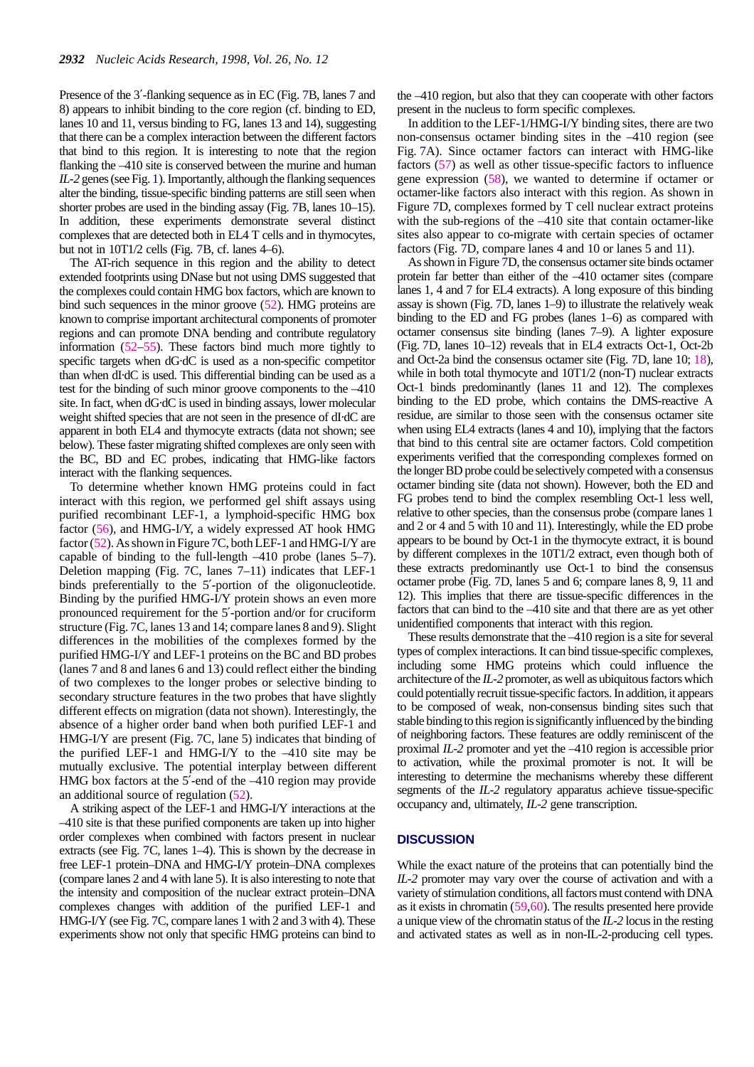Presence of the 3′-flanking sequence as in EC (Fig. 7B, lanes 7 and 8) appears to inhibit binding to the core region (cf. binding to ED, lanes 10 and 11, versus binding to FG, lanes 13 and 14), suggesting that there can be a complex interaction between the different factors that bind to this region. It is interesting to note that the region flanking the –410 site is conserved between the murine and human *IL-2* genes (see Fig. 1). Importantly, although the flanking sequences alter the binding, tissue-specific binding patterns are still seen when shorter probes are used in the binding assay (Fig. 7B, lanes 10–15). In addition, these experiments demonstrate several distinct complexes that are detected both in EL4 T cells and in thymocytes, but not in 10T1/2 cells (Fig. 7B, cf. lanes 4–6).

The AT-rich sequence in this region and the ability to detect extended footprints using DNase but not using DMS suggested that the complexes could contain HMG box factors, which are known to bind such sequences in the minor groove (52). HMG proteins are known to comprise important architectural components of promoter regions and can promote DNA bending and contribute regulatory information (52–55). These factors bind much more tightly to specific targets when dG·dC is used as a non-specific competitor than when dI·dC is used. This differential binding can be used as a test for the binding of such minor groove components to the –410 site. In fact, when dG·dC is used in binding assays, lower molecular weight shifted species that are not seen in the presence of dI·dC are apparent in both EL4 and thymocyte extracts (data not shown; see below). These faster migrating shifted complexes are only seen with the BC, BD and EC probes, indicating that HMG-like factors interact with the flanking sequences.

To determine whether known HMG proteins could in fact interact with this region, we performed gel shift assays using purified recombinant LEF-1, a lymphoid-specific HMG box factor (56), and HMG-I/Y, a widely expressed AT hook HMG factor (52). As shown in Figure 7C, both LEF-1 and HMG-I/Y are capable of binding to the full-length –410 probe (lanes 5–7). Deletion mapping (Fig. 7C, lanes 7–11) indicates that LEF-1 binds preferentially to the 5′-portion of the oligonucleotide. Binding by the purified HMG-I/Y protein shows an even more pronounced requirement for the 5′-portion and/or for cruciform structure (Fig. 7C, lanes 13 and 14; compare lanes 8 and 9). Slight differences in the mobilities of the complexes formed by the purified HMG-I/Y and LEF-1 proteins on the BC and BD probes (lanes 7 and 8 and lanes 6 and 13) could reflect either the binding of two complexes to the longer probes or selective binding to secondary structure features in the two probes that have slightly different effects on migration (data not shown). Interestingly, the absence of a higher order band when both purified LEF-1 and HMG-I/Y are present (Fig. 7C, lane 5) indicates that binding of the purified LEF-1 and HMG-I/Y to the –410 site may be mutually exclusive. The potential interplay between different HMG box factors at the 5′-end of the –410 region may provide an additional source of regulation (52).

A striking aspect of the LEF-1 and HMG-I/Y interactions at the –410 site is that these purified components are taken up into higher order complexes when combined with factors present in nuclear extracts (see Fig. 7C, lanes 1–4). This is shown by the decrease in free LEF-1 protein–DNA and HMG-I/Y protein–DNA complexes (compare lanes 2 and 4 with lane 5). It is also interesting to note that the intensity and composition of the nuclear extract protein–DNA complexes changes with addition of the purified LEF-1 and HMG-I/Y (see Fig. 7C, compare lanes 1 with 2 and 3 with 4). These experiments show not only that specific HMG proteins can bind to

the –410 region, but also that they can cooperate with other factors present in the nucleus to form specific complexes.

In addition to the LEF-1/HMG-I/Y binding sites, there are two non-consensus octamer binding sites in the –410 region (see Fig. 7A). Since octamer factors can interact with HMG-like factors (57) as well as other tissue-specific factors to influence gene expression (58), we wanted to determine if octamer or octamer-like factors also interact with this region. As shown in Figure 7D, complexes formed by T cell nuclear extract proteins with the sub-regions of the –410 site that contain octamer-like sites also appear to co-migrate with certain species of octamer factors (Fig. 7D, compare lanes 4 and 10 or lanes 5 and 11).

As shown in Figure 7D, the consensus octamer site binds octamer protein far better than either of the –410 octamer sites (compare lanes 1, 4 and 7 for EL4 extracts). A long exposure of this binding assay is shown (Fig. 7D, lanes 1–9) to illustrate the relatively weak binding to the ED and FG probes (lanes 1–6) as compared with octamer consensus site binding (lanes 7–9). A lighter exposure (Fig. 7D, lanes 10–12) reveals that in EL4 extracts Oct-1, Oct-2b and Oct-2a bind the consensus octamer site (Fig. 7D, lane 10; 18), while in both total thymocyte and 10T1/2 (non-T) nuclear extracts Oct-1 binds predominantly (lanes 11 and 12). The complexes binding to the ED probe, which contains the DMS-reactive A residue, are similar to those seen with the consensus octamer site when using EL4 extracts (lanes 4 and 10), implying that the factors that bind to this central site are octamer factors. Cold competition experiments verified that the corresponding complexes formed on the longer BD probe could be selectively competed with a consensus octamer binding site (data not shown). However, both the ED and FG probes tend to bind the complex resembling Oct-1 less well, relative to other species, than the consensus probe (compare lanes 1 and 2 or 4 and 5 with 10 and 11). Interestingly, while the ED probe appears to be bound by Oct-1 in the thymocyte extract, it is bound by different complexes in the 10T1/2 extract, even though both of these extracts predominantly use Oct-1 to bind the consensus octamer probe (Fig. 7D, lanes 5 and 6; compare lanes 8, 9, 11 and 12). This implies that there are tissue-specific differences in the factors that can bind to the –410 site and that there are as yet other unidentified components that interact with this region.

These results demonstrate that the –410 region is a site for several types of complex interactions. It can bind tissue-specific complexes, including some HMG proteins which could influence the architecture of the *IL-2* promoter, as well as ubiquitous factors which could potentially recruit tissue-specific factors. In addition, it appears to be composed of weak, non-consensus binding sites such that stable binding to this region is significantly influenced by the binding of neighboring factors. These features are oddly reminiscent of the proximal *IL-2* promoter and yet the –410 region is accessible prior to activation, while the proximal promoter is not. It will be interesting to determine the mechanisms whereby these different segments of the *IL-2* regulatory apparatus achieve tissue-specific occupancy and, ultimately, *IL-2* gene transcription.

## **DISCUSSION**

While the exact nature of the proteins that can potentially bind the *IL-2* promoter may vary over the course of activation and with a variety of stimulation conditions, all factors must contend with DNA as it exists in chromatin (59,60). The results presented here provide a unique view of the chromatin status of the *IL-2* locus in the resting and activated states as well as in non-IL-2-producing cell types.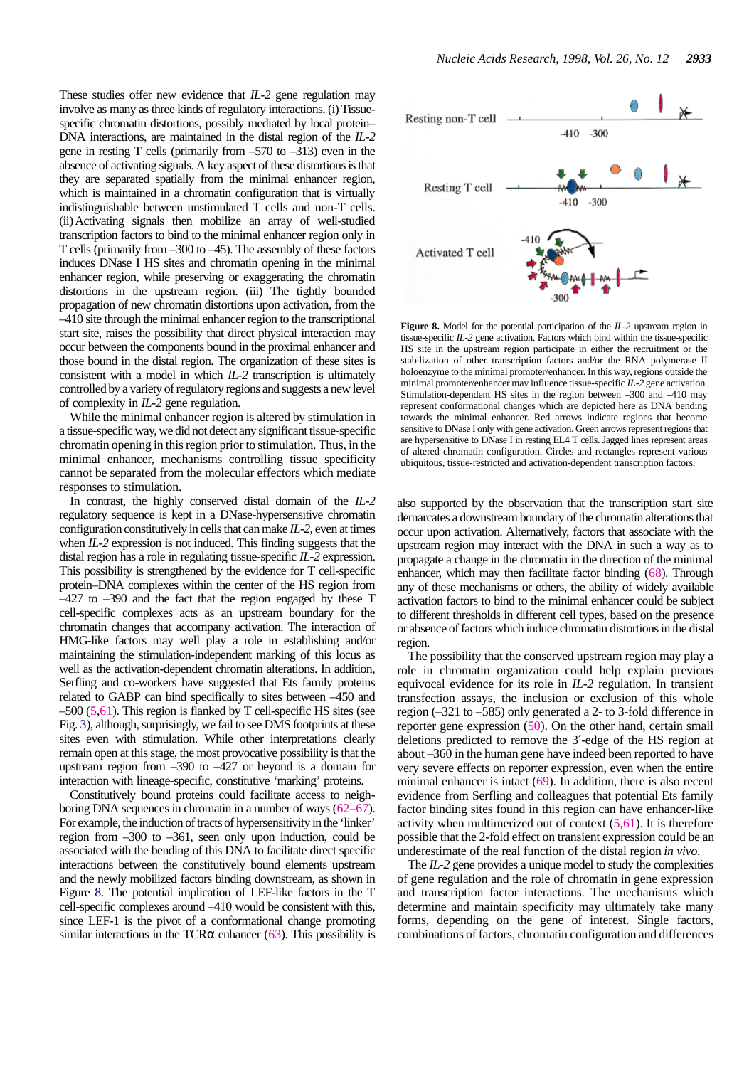These studies offer new evidence that *IL-2* gene regulation may involve as many as three kinds of regulatory interactions. (i) Tissuespecific chromatin distortions, possibly mediated by local protein– DNA interactions, are maintained in the distal region of the *IL-2* gene in resting T cells (primarily from –570 to –313) even in the absence of activating signals. A key aspect of these distortions is that they are separated spatially from the minimal enhancer region, which is maintained in a chromatin configuration that is virtually indistinguishable between unstimulated T cells and non-T cells. (ii) Activating signals then mobilize an array of well-studied transcription factors to bind to the minimal enhancer region only in T cells (primarily from –300 to –45). The assembly of these factors induces DNase I HS sites and chromatin opening in the minimal enhancer region, while preserving or exaggerating the chromatin distortions in the upstream region. (iii) The tightly bounded propagation of new chromatin distortions upon activation, from the –410 site through the minimal enhancer region to the transcriptional start site, raises the possibility that direct physical interaction may occur between the components bound in the proximal enhancer and those bound in the distal region. The organization of these sites is consistent with a model in which *IL-2* transcription is ultimately controlled by a variety of regulatory regions and suggests a new level of complexity in *IL-2* gene regulation.

While the minimal enhancer region is altered by stimulation in a tissue-specific way, we did not detect any significant tissue-specific chromatin opening in this region prior to stimulation. Thus, in the minimal enhancer, mechanisms controlling tissue specificity cannot be separated from the molecular effectors which mediate responses to stimulation.

In contrast, the highly conserved distal domain of the *IL-2* regulatory sequence is kept in a DNase-hypersensitive chromatin configuration constitutively in cells that can make *IL-2*, even at times when *IL-2* expression is not induced. This finding suggests that the distal region has a role in regulating tissue-specific *IL-2* expression. This possibility is strengthened by the evidence for T cell-specific protein–DNA complexes within the center of the HS region from –427 to –390 and the fact that the region engaged by these T cell-specific complexes acts as an upstream boundary for the chromatin changes that accompany activation. The interaction of HMG-like factors may well play a role in establishing and/or maintaining the stimulation-independent marking of this locus as well as the activation-dependent chromatin alterations. In addition, Serfling and co-workers have suggested that Ets family proteins related to GABP can bind specifically to sites between –450 and  $-500$  (5,61). This region is flanked by T cell-specific HS sites (see Fig. 3), although, surprisingly, we fail to see DMS footprints at these sites even with stimulation. While other interpretations clearly remain open at this stage, the most provocative possibility is that the upstream region from –390 to –427 or beyond is a domain for interaction with lineage-specific, constitutive 'marking' proteins.

Constitutively bound proteins could facilitate access to neighboring DNA sequences in chromatin in a number of ways (62–67). For example, the induction of tracts of hypersensitivity in the 'linker' region from –300 to –361, seen only upon induction, could be associated with the bending of this DNA to facilitate direct specific interactions between the constitutively bound elements upstream and the newly mobilized factors binding downstream, as shown in Figure 8. The potential implication of LEF-like factors in the T cell-specific complexes around –410 would be consistent with this, since LEF-1 is the pivot of a conformational change promoting similar interactions in the TCR $\alpha$  enhancer (63). This possibility is



**Figure 8.** Model for the potential participation of the *IL-2* upstream region in tissue-specific *IL-2* gene activation. Factors which bind within the tissue-specific HS site in the upstream region participate in either the recruitment or the stabilization of other transcription factors and/or the RNA polymerase II holoenzyme to the minimal promoter/enhancer. In this way, regions outside the minimal promoter/enhancer may influence tissue-specific *IL-2* gene activation. Stimulation-dependent HS sites in the region between –300 and –410 may represent conformational changes which are depicted here as DNA bending towards the minimal enhancer. Red arrows indicate regions that become sensitive to DNase I only with gene activation. Green arrows represent regions that are hypersensitive to DNase I in resting EL4 T cells. Jagged lines represent areas of altered chromatin configuration. Circles and rectangles represent various ubiquitous, tissue-restricted and activation-dependent transcription factors.

also supported by the observation that the transcription start site demarcates a downstream boundary of the chromatin alterations that occur upon activation. Alternatively, factors that associate with the upstream region may interact with the DNA in such a way as to propagate a change in the chromatin in the direction of the minimal enhancer, which may then facilitate factor binding (68). Through any of these mechanisms or others, the ability of widely available activation factors to bind to the minimal enhancer could be subject to different thresholds in different cell types, based on the presence or absence of factors which induce chromatin distortions in the distal region.

The possibility that the conserved upstream region may play a role in chromatin organization could help explain previous equivocal evidence for its role in *IL-2* regulation. In transient transfection assays, the inclusion or exclusion of this whole region (–321 to –585) only generated a 2- to 3-fold difference in reporter gene expression  $(50)$ . On the other hand, certain small deletions predicted to remove the 3′-edge of the HS region at about –360 in the human gene have indeed been reported to have very severe effects on reporter expression, even when the entire minimal enhancer is intact (69). In addition, there is also recent evidence from Serfling and colleagues that potential Ets family factor binding sites found in this region can have enhancer-like activity when multimerized out of context  $(5,61)$ . It is therefore possible that the 2-fold effect on transient expression could be an underestimate of the real function of the distal region *in vivo*.

The *IL-2* gene provides a unique model to study the complexities of gene regulation and the role of chromatin in gene expression and transcription factor interactions. The mechanisms which determine and maintain specificity may ultimately take many forms, depending on the gene of interest. Single factors, combinations of factors, chromatin configuration and differences